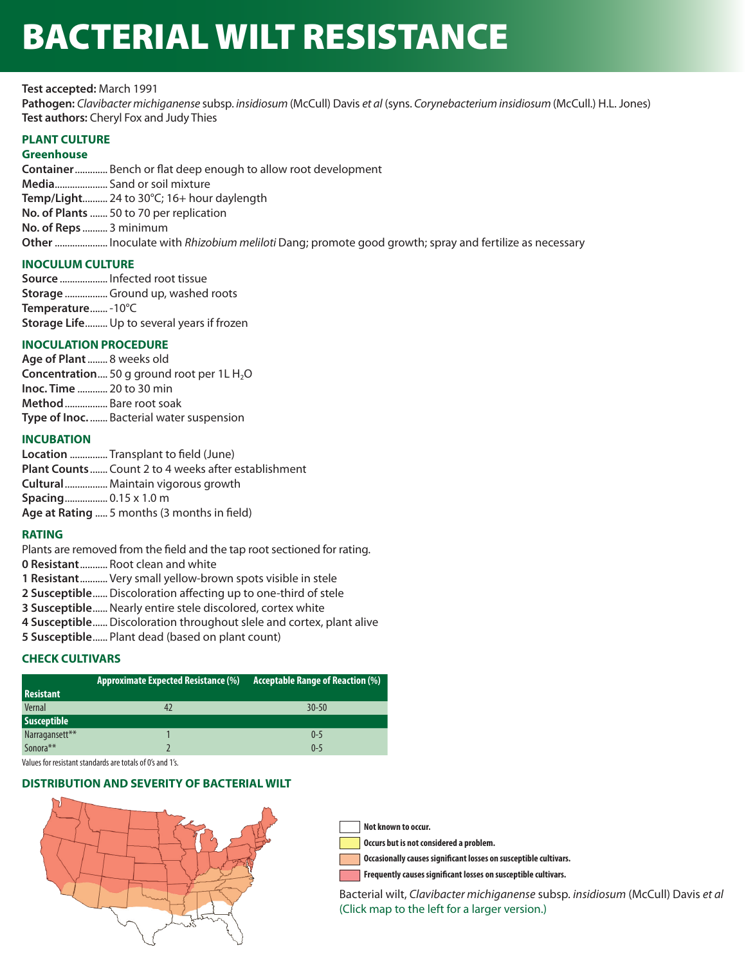# BACTERIAL WILT RESISTANCE

**Test accepted:** March 1991

**Pathogen:** *Clavibacter michiganense* subsp. *insidiosum* (McCull) Davis *et al* (syns. *Corynebacterium insidiosum* (McCull.) H.L. Jones) **Test authors:** Cheryl Fox and Judy Thies

# **PLANT CULTURE**

## **Greenhouse**

**Container** ............. Bench or flat deep enough to allow root development **Media**..................... Sand or soil mixture **Temp/Light**.......... 24 to 30°C; 16+ hour daylength **No. of Plants** ....... 50 to 70 per replication **No. of Reps** .......... 3 minimum **Other** ..................... Inoculate with *Rhizobium meliloti* Dang; promote good growth; spray and fertilize as necessary

# **INOCULUM CULTURE**

**Source** ................... Infected root tissue **Storage** ................. Ground up, washed roots **Temperature** ....... -10°C **Storage Life** ......... Up to several years if frozen

# **INOCULATION PROCEDURE**

**Age of Plant** ........ 8 weeks old **Concentration....** 50 g ground root per 1L H<sub>2</sub>O **Inoc. Time** ............ 20 to 30 min **Method** ................. Bare root soak **Type of Inoc.** ....... Bacterial water suspension

# **INCUBATION**

**Location** ............... Transplant to field (June) **Plant Counts** ....... Count 2 to 4 weeks after establishment **Cultural** ................. Maintain vigorous growth **Spacing** ................. 0.15 x 1.0 m **Age at Rating** ..... 5 months (3 months in field)

## **RATING**

Plants are removed from the field and the tap root sectioned for rating.

- **0 Resistant** ........... Root clean and white
- **1 Resistant** ........... Very small yellow-brown spots visible in stele
- **2 Susceptible** ......Discoloration affecting up to one-third of stele
- **3 Susceptible......** Nearly entire stele discolored, cortex white
- **4 Susceptible** ......Discoloration throughout slele and cortex, plant alive
- **5 Susceptible** ...... Plant dead (based on plant count)

# **CHECK CULTIVARS**

|                    | <b>Approximate Expected Resistance (%)</b> | <b>Acceptable Range of Reaction (%)</b> |
|--------------------|--------------------------------------------|-----------------------------------------|
| <b>Resistant</b>   |                                            |                                         |
| Vernal             |                                            | $30 - 50$                               |
| <b>Susceptible</b> |                                            |                                         |
| Narragansett**     |                                            | $0 - 5$                                 |
| Sonora**           |                                            | $0 - 5$                                 |

Values for resistant standards are totals of 0's and 1's.

## **DISTRIBUTION AND SEVERITY OF BACTERIAL WILT**



**Not known to occur.**

**Occurs but is not considered a problem.**

**Occasionally causes significant losses on susceptible cultivars.**

**Frequently causes significant losses on susceptible cultivars.**

Bacterial wilt, *Clavibacter michiganense* subsp. *insidiosum* (McCull) Davis *et al* (Click map to the left for a larger version.)